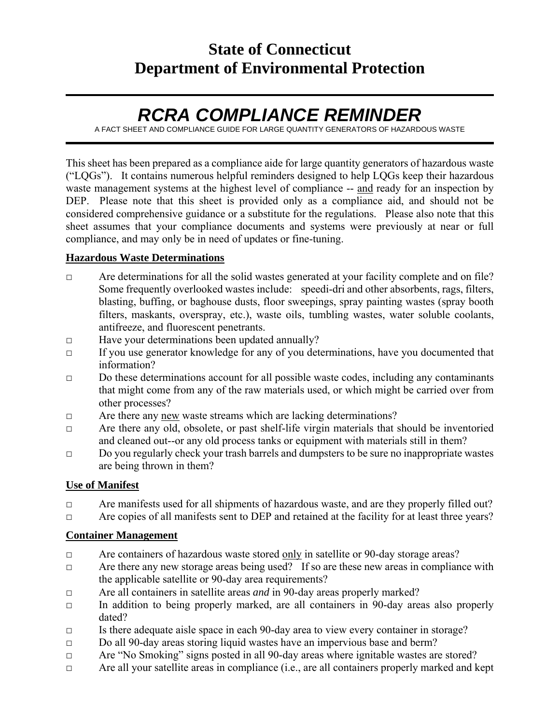# **State of Connecticut Department of Environmental Protection**

# *RCRA COMPLIANCE REMINDER*

A FACT SHEET AND COMPLIANCE GUIDE FOR LARGE QUANTITY GENERATORS OF HAZARDOUS WASTE

This sheet has been prepared as a compliance aide for large quantity generators of hazardous waste ("LQGs"). It contains numerous helpful reminders designed to help LQGs keep their hazardous waste management systems at the highest level of compliance -- and ready for an inspection by DEP. Please note that this sheet is provided only as a compliance aid, and should not be considered comprehensive guidance or a substitute for the regulations. Please also note that this sheet assumes that your compliance documents and systems were previously at near or full compliance, and may only be in need of updates or fine-tuning.

#### **Hazardous Waste Determinations**

- $\Box$  Are determinations for all the solid wastes generated at your facility complete and on file? Some frequently overlooked wastes include: speedi-dri and other absorbents, rags, filters, blasting, buffing, or baghouse dusts, floor sweepings, spray painting wastes (spray booth filters, maskants, overspray, etc.), waste oils, tumbling wastes, water soluble coolants, antifreeze, and fluorescent penetrants.
- □ Have your determinations been updated annually?
- □ If you use generator knowledge for any of you determinations, have you documented that information?
- □ Do these determinations account for all possible waste codes, including any contaminants that might come from any of the raw materials used, or which might be carried over from other processes?
- □ Are there any new waste streams which are lacking determinations?
- □ Are there any old, obsolete, or past shelf-life virgin materials that should be inventoried and cleaned out--or any old process tanks or equipment with materials still in them?
- $\Box$  Do you regularly check your trash barrels and dumpsters to be sure no inappropriate wastes are being thrown in them?

#### **Use of Manifest**

□ Are manifests used for all shipments of hazardous waste, and are they properly filled out?

□ Are copies of all manifests sent to DEP and retained at the facility for at least three years?

#### **Container Management**

- □ Are containers of hazardous waste stored only in satellite or 90-day storage areas?
- □ Are there any new storage areas being used? If so are these new areas in compliance with the applicable satellite or 90-day area requirements?
- □ Are all containers in satellite areas *and* in 90-day areas properly marked?
- $\Box$  In addition to being properly marked, are all containers in 90-day areas also properly dated?
- □ Is there adequate aisle space in each 90-day area to view every container in storage?
- □ Do all 90-day areas storing liquid wastes have an impervious base and berm?
- □ Are "No Smoking" signs posted in all 90-day areas where ignitable wastes are stored?
- □ Are all your satellite areas in compliance (i.e., are all containers properly marked and kept